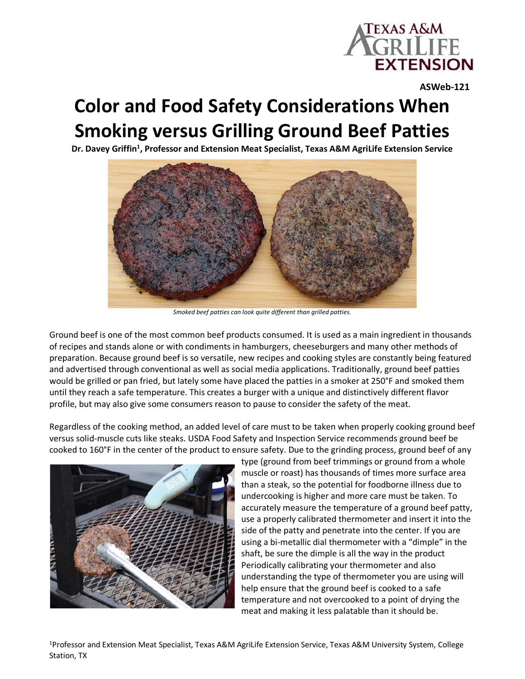

**ASWeb-121**

## **Color and Food Safety Considerations When Smoking versus Grilling Ground Beef Patties**

Dr. Davey Griffin<sup>1</sup>, Professor and Extension Meat Specialist, Texas A&M AgriLife Extension Service



*Smoked beef patties can look quite different than grilled patties.*

Ground beef is one of the most common beef products consumed. It is used as a main ingredient in thousands of recipes and stands alone or with condiments in hamburgers, cheeseburgers and many other methods of preparation. Because ground beef is so versatile, new recipes and cooking styles are constantly being featured and advertised through conventional as well as social media applications. Traditionally, ground beef patties would be grilled or pan fried, but lately some have placed the patties in a smoker at 250°F and smoked them until they reach a safe temperature. This creates a burger with a unique and distinctively different flavor profile, but may also give some consumers reason to pause to consider the safety of the meat.

Regardless of the cooking method, an added level of care must to be taken when properly cooking ground beef versus solid-muscle cuts like steaks. USDA Food Safety and Inspection Service recommends ground beef be cooked to 160°F in the center of the product to ensure safety. Due to the grinding process, ground beef of any



type (ground from beef trimmings or ground from a whole muscle or roast) has thousands of times more surface area than a steak, so the potential for foodborne illness due to undercooking is higher and more care must be taken. To accurately measure the temperature of a ground beef patty, use a properly calibrated thermometer and insert it into the side of the patty and penetrate into the center. If you are using a bi-metallic dial thermometer with a "dimple" in the shaft, be sure the dimple is all the way in the product Periodically calibrating your thermometer and also understanding the type of thermometer you are using will help ensure that the ground beef is cooked to a safe temperature and not overcooked to a point of drying the meat and making it less palatable than it should be.

<sup>1</sup>Professor and Extension Meat Specialist, Texas A&M AgriLife Extension Service, Texas A&M University System, College Station, TX